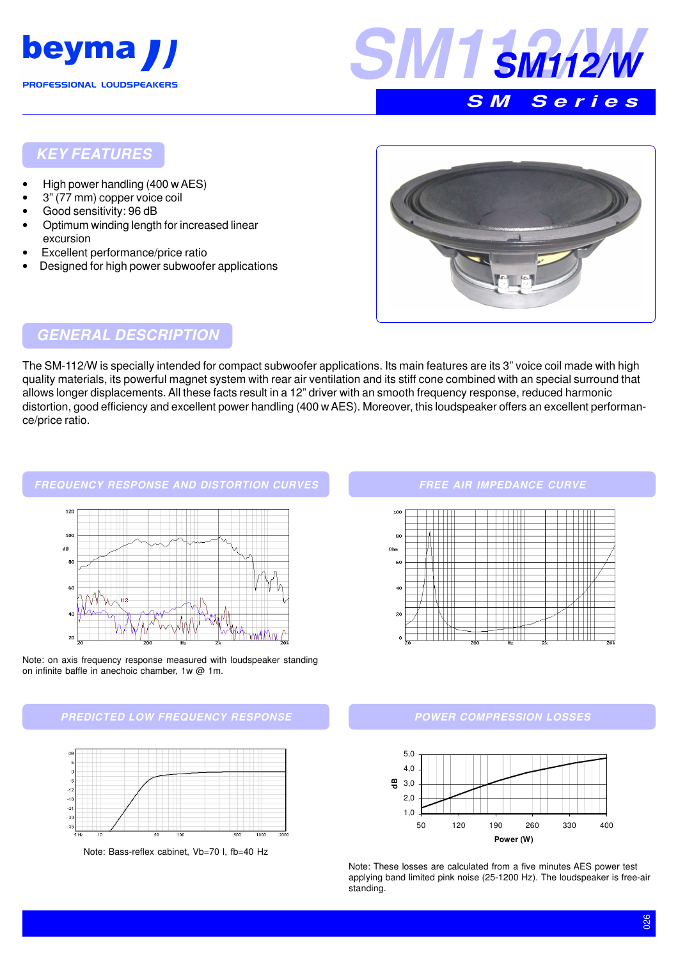



#### **KEY FEATURES**

- High power handling (400 w AES)
- 3" (77 mm) copper voice coil
- Good sensitivity: 96 dB
- Optimum winding length for increased linear excursion
- Excellent performance/price ratio
- Designed for high power subwoofer applications



### **GENERAL DESCRIPTION**

The SM-112/W is specially intended for compact subwoofer applications. Its main features are its 3" voice coil made with high quality materials, its powerful magnet system with rear air ventilation and its stiff cone combined with an special surround that allows longer displacements. All these facts result in a 12" driver with an smooth frequency response, reduced harmonic distortion, good efficiency and excellent power handling (400 w AES). Moreover, this loudspeaker offers an excellent performance/price ratio.



Note: on axis frequency response measured with loudspeaker standing on infinite baffle in anechoic chamber, 1w @ 1m.





Note: Bass-reflex cabinet, Vb=70 l, fb=40 Hz

#### **FREE AIR IMPEDANCE CURVE**



#### **POWER COMPRESSION LOSSES**



Note: These losses are calculated from a five minutes AES power test applying band limited pink noise (25-1200 Hz). The loudspeaker is free-air standing.